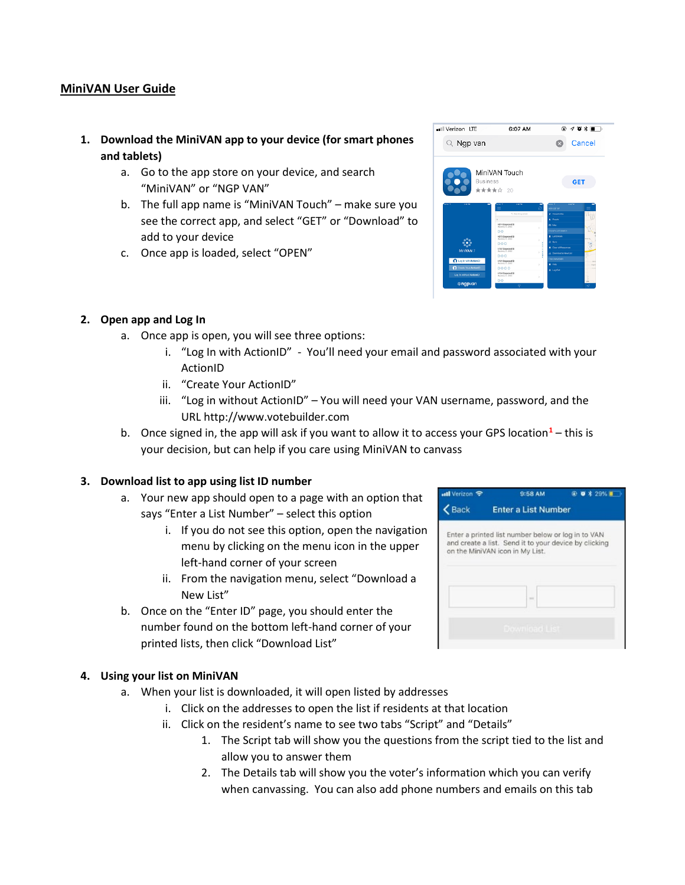## **MiniVAN User Guide**

- **1. Download the MiniVAN app to your device (for smart phones and tablets)**
	- a. Go to the app store on your device, and search "MiniVAN" or "NGP VAN"
	- b. The full app name is "MiniVAN Touch" make sure you see the correct app, and select "GET" or "Download" to add to your device
	- c. Once app is loaded, select "OPEN"

| ull Verizon LTE               | 6:07 AM                                          | $@.701 \text{ m}$                           |  |  |
|-------------------------------|--------------------------------------------------|---------------------------------------------|--|--|
| $\mathbb{Q}$ Ngp van          |                                                  | Cancel<br>×                                 |  |  |
|                               | MiniVAN Touch                                    |                                             |  |  |
|                               | <b>Business</b><br>★★★★☆ 20                      | <b>GET</b>                                  |  |  |
| 14074                         | 232092                                           | <b>SAITH</b><br><b>Whe LIST BY</b>          |  |  |
|                               | Q. Search by shout                               | A Households                                |  |  |
|                               | $\alpha$<br>4874 Degwood St                      | <b>D.</b> People                            |  |  |
|                               | Mandanna PA 30960<br>$\mathbf{S}$                | <b>BD</b> Mea-<br>$\sim$                    |  |  |
|                               | $\circ$<br><b>ASTS Dreamed Br</b>                | COUNTY LIST NAME 1<br><b>B</b> List Details |  |  |
|                               | Mandano PL Street                                | O first                                     |  |  |
|                               | 000<br>4107 Deproved St.                         | F<br><b>Q</b> Clear all Festponson          |  |  |
| MinMAN 7                      | Mandanna PL 32063<br>ś<br>000                    | Ì<br>A. Download a New List                 |  |  |
|                               |                                                  |                                             |  |  |
|                               |                                                  | ÷<br>TOM CANADIATE                          |  |  |
| <b>Q</b> Log In with Actionic | 4131 Dogwood St<br>Mexicos PL 32003<br>v         | 0.1996                                      |  |  |
| <b>Couts Your Action D</b>    | 0000                                             | $\sim$<br><b>6</b> Leg Out                  |  |  |
| Log in without Action(i)      | 4134 Dogwood St<br>Mandannia PL 30903<br>×<br>00 |                                             |  |  |

## **2. Open app and Log In**

- a. Once app is open, you will see three options:
	- i. "Log In with ActionID" You'll need your email and password associated with your ActionID
	- ii. "Create Your ActionID"
	- iii. "Log in without ActionID" You will need your VAN username, password, and the URL http://www.votebuilder.com
- b. Once signed in, the app will ask if you want to allow it to access your GPS location**[1](#page-1-0)** this is your decision, but can help if you care using MiniVAN to canvass

## **3. Download list to app using list ID number**

- a. Your new app should open to a page with an option that says "Enter a List Number" – select this option
	- i. If you do not see this option, open the navigation menu by clicking on the menu icon in the upper left-hand corner of your screen
	- ii. From the navigation menu, select "Download a New List"
- b. Once on the "Enter ID" page, you should enter the number found on the bottom left-hand corner of your printed lists, then click "Download List"

## **4. Using your list on MiniVAN**

- a. When your list is downloaded, it will open listed by addresses
	- i. Click on the addresses to open the list if residents at that location
	- ii. Click on the resident's name to see two tabs "Script" and "Details"
		- 1. The Script tab will show you the questions from the script tied to the list and allow you to answer them
		- 2. The Details tab will show you the voter's information which you can verify when canvassing. You can also add phone numbers and emails on this tab

| ull Verizon <b>全</b> | 9:58 AM                                                                                  | © 0 1 29% ■ |
|----------------------|------------------------------------------------------------------------------------------|-------------|
| Back                 | <b>Enter a List Number</b>                                                               |             |
|                      | Enter a printed list number below or log in to VAN                                       |             |
|                      | and create a list. Send it to your device by clicking<br>on the MiniVAN icon in My List. |             |
|                      |                                                                                          |             |
|                      | <b>SHEET</b>                                                                             |             |
|                      |                                                                                          |             |
|                      | Download List                                                                            |             |
|                      |                                                                                          |             |